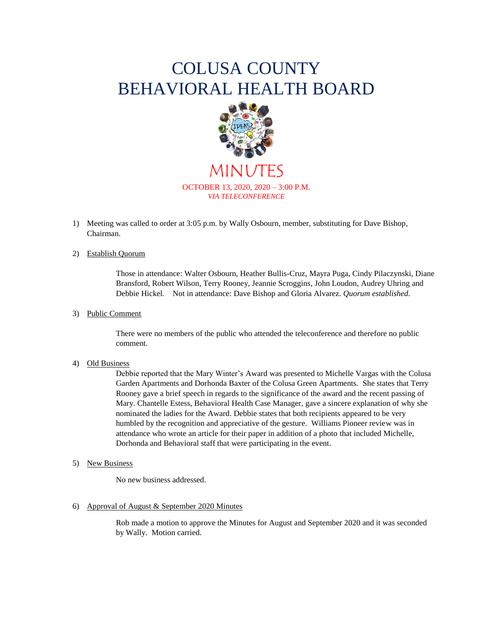## COLUSA COUNTY BEHAVIORAL HEALTH BOARD



MINUTES OCTOBER 13, 2020, 2020 – 3:00 P.M. *VIA TELECONFERENCE*

1) Meeting was called to order at 3:05 p.m. by Wally Osbourn, member, substituting for Dave Bishop, Chairman.

#### 2) Establish Quorum

Those in attendance: Walter Osbourn, Heather Bullis-Cruz, Mayra Puga, Cindy Pilaczynski, Diane Bransford, Robert Wilson, Terry Rooney, Jeannie Scroggins, John Loudon, Audrey Uhring and Debbie Hickel. Not in attendance: Dave Bishop and Gloria Alvarez. *Quorum established.*

#### 3) Public Comment

There were no members of the public who attended the teleconference and therefore no public comment.

#### 4) Old Business

Debbie reported that the Mary Winter's Award was presented to Michelle Vargas with the Colusa Garden Apartments and Dorhonda Baxter of the Colusa Green Apartments. She states that Terry Rooney gave a brief speech in regards to the significance of the award and the recent passing of Mary. Chantelle Estess, Behavioral Health Case Manager, gave a sincere explanation of why she nominated the ladies for the Award. Debbie states that both recipients appeared to be very humbled by the recognition and appreciative of the gesture. Williams Pioneer review was in attendance who wrote an article for their paper in addition of a photo that included Michelle, Dorhonda and Behavioral staff that were participating in the event.

#### 5) New Business

No new business addressed.

6) Approval of August & September 2020 Minutes

Rob made a motion to approve the Minutes for August and September 2020 and it was seconded by Wally. Motion carried.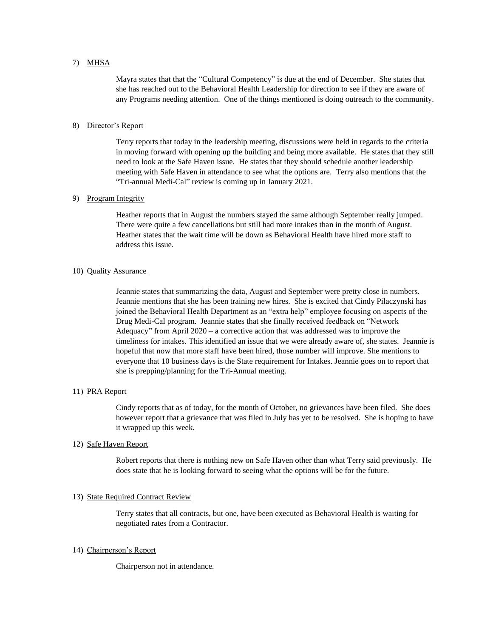#### 7) MHSA

Mayra states that that the "Cultural Competency" is due at the end of December. She states that she has reached out to the Behavioral Health Leadership for direction to see if they are aware of any Programs needing attention. One of the things mentioned is doing outreach to the community.

#### 8) Director's Report

Terry reports that today in the leadership meeting, discussions were held in regards to the criteria in moving forward with opening up the building and being more available. He states that they still need to look at the Safe Haven issue. He states that they should schedule another leadership meeting with Safe Haven in attendance to see what the options are. Terry also mentions that the "Tri-annual Medi-Cal" review is coming up in January 2021.

#### 9) Program Integrity

Heather reports that in August the numbers stayed the same although September really jumped. There were quite a few cancellations but still had more intakes than in the month of August. Heather states that the wait time will be down as Behavioral Health have hired more staff to address this issue.

#### 10) Quality Assurance

Jeannie states that summarizing the data, August and September were pretty close in numbers. Jeannie mentions that she has been training new hires. She is excited that Cindy Pilaczynski has joined the Behavioral Health Department as an "extra help" employee focusing on aspects of the Drug Medi-Cal program. Jeannie states that she finally received feedback on "Network Adequacy" from April 2020 – a corrective action that was addressed was to improve the timeliness for intakes. This identified an issue that we were already aware of, she states. Jeannie is hopeful that now that more staff have been hired, those number will improve. She mentions to everyone that 10 business days is the State requirement for Intakes. Jeannie goes on to report that she is prepping/planning for the Tri-Annual meeting.

#### 11) PRA Report

Cindy reports that as of today, for the month of October, no grievances have been filed. She does however report that a grievance that was filed in July has yet to be resolved. She is hoping to have it wrapped up this week.

#### 12) Safe Haven Report

Robert reports that there is nothing new on Safe Haven other than what Terry said previously. He does state that he is looking forward to seeing what the options will be for the future.

#### 13) State Required Contract Review

Terry states that all contracts, but one, have been executed as Behavioral Health is waiting for negotiated rates from a Contractor.

#### 14) Chairperson's Report

Chairperson not in attendance.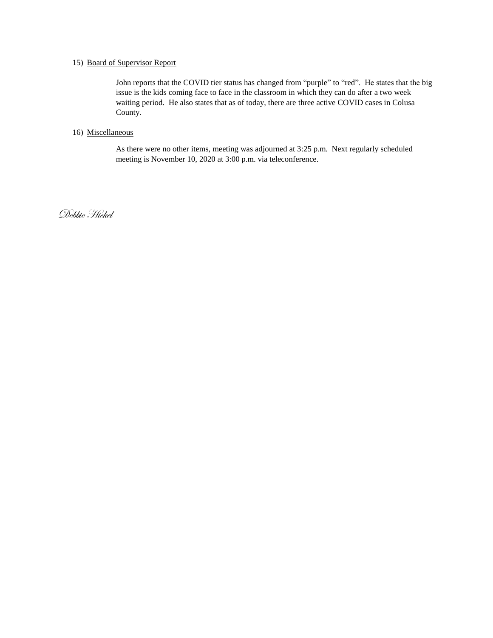#### 15) Board of Supervisor Report

John reports that the COVID tier status has changed from "purple" to "red". He states that the big issue is the kids coming face to face in the classroom in which they can do after a two week waiting period. He also states that as of today, there are three active COVID cases in Colusa County.

#### 16) Miscellaneous

As there were no other items, meeting was adjourned at 3:25 p.m. Next regularly scheduled meeting is November 10, 2020 at 3:00 p.m. via teleconference.

Debbie Hickel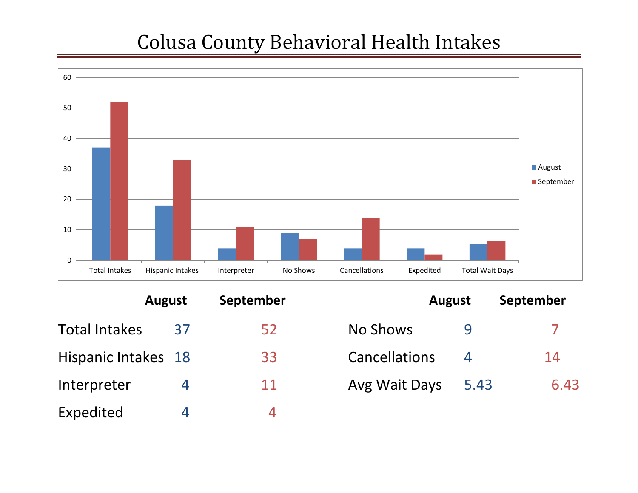# Colusa County Behavioral Health Intakes



|                      | <b>August</b>  | September | <b>August</b>        |                          | Septembe |  |
|----------------------|----------------|-----------|----------------------|--------------------------|----------|--|
| <b>Total Intakes</b> | 37             | 52        | No Shows             |                          |          |  |
| Hispanic Intakes 18  |                | 33        | <b>Cancellations</b> | $\overline{\mathcal{A}}$ | 14       |  |
| Interpreter          |                | 11        | Avg Wait Days        | 5.43                     | 6        |  |
| Expedited            | $\overline{a}$ | 4         |                      |                          |          |  |

|                     | <b>August</b> | September | <b>August</b>        |      | September |
|---------------------|---------------|-----------|----------------------|------|-----------|
| Total Intakes       | 37            | 52        | No Shows             |      |           |
| Hispanic Intakes 18 |               | 33        | <b>Cancellations</b> |      | 14        |
| Interpreter         | 4             | 11        | Avg Wait Days        | 5.43 | 6.43      |
|                     |               |           |                      |      |           |